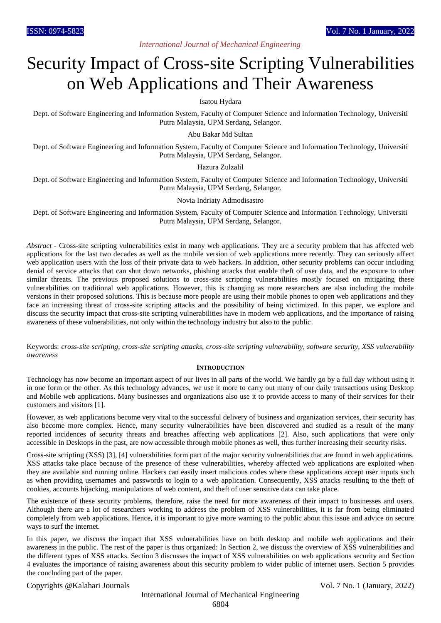# *International Journal of Mechanical Engineering*

# Security Impact of Cross-site Scripting Vulnerabilities on Web Applications and Their Awareness

Isatou Hydara

Dept. of Software Engineering and Information System, Faculty of Computer Science and Information Technology, Universiti Putra Malaysia, UPM Serdang, Selangor.

Abu Bakar Md Sultan

Dept. of Software Engineering and Information System, Faculty of Computer Science and Information Technology, Universiti Putra Malaysia, UPM Serdang, Selangor.

## Hazura Zulzalil

Dept. of Software Engineering and Information System, Faculty of Computer Science and Information Technology, Universiti Putra Malaysia, UPM Serdang, Selangor.

## Novia Indriaty Admodisastro

Dept. of Software Engineering and Information System, Faculty of Computer Science and Information Technology, Universiti Putra Malaysia, UPM Serdang, Selangor.

*Abstract* - Cross-site scripting vulnerabilities exist in many web applications. They are a security problem that has affected web applications for the last two decades as well as the mobile version of web applications more recently. They can seriously affect web application users with the loss of their private data to web hackers. In addition, other security problems can occur including denial of service attacks that can shut down networks, phishing attacks that enable theft of user data, and the exposure to other similar threats. The previous proposed solutions to cross-site scripting vulnerabilities mostly focused on mitigating these vulnerabilities on traditional web applications. However, this is changing as more researchers are also including the mobile versions in their proposed solutions. This is because more people are using their mobile phones to open web applications and they face an increasing threat of cross-site scripting attacks and the possibility of being victimized. In this paper, we explore and discuss the security impact that cross-site scripting vulnerabilities have in modern web applications, and the importance of raising awareness of these vulnerabilities, not only within the technology industry but also to the public.

Keywords: *cross-site scripting, cross-site scripting attacks, cross-site scripting vulnerability, software security, XSS vulnerability awareness*

#### **INTRODUCTION**

Technology has now become an important aspect of our lives in all parts of the world. We hardly go by a full day without using it in one form or the other. As this technology advances, we use it more to carry out many of our daily transactions using Desktop and Mobile web applications. Many businesses and organizations also use it to provide access to many of their services for their customers and visitors [1].

However, as web applications become very vital to the successful delivery of business and organization services, their security has also become more complex. Hence, many security vulnerabilities have been discovered and studied as a result of the many reported incidences of security threats and breaches affecting web applications [2]. Also, such applications that were only accessible in Desktops in the past, are now accessible through mobile phones as well, thus further increasing their security risks.

Cross-site scripting (XSS) [3], [4] vulnerabilities form part of the major security vulnerabilities that are found in web applications. XSS attacks take place because of the presence of these vulnerabilities, whereby affected web applications are exploited when they are available and running online. Hackers can easily insert malicious codes where these applications accept user inputs such as when providing usernames and passwords to login to a web application. Consequently, XSS attacks resulting to the theft of cookies, accounts hijacking, manipulations of web content, and theft of user sensitive data can take place.

The existence of these security problems, therefore, raise the need for more awareness of their impact to businesses and users. Although there are a lot of researchers working to address the problem of XSS vulnerabilities, it is far from being eliminated completely from web applications. Hence, it is important to give more warning to the public about this issue and advice on secure ways to surf the internet.

In this paper, we discuss the impact that XSS vulnerabilities have on both desktop and mobile web applications and their awareness in the public. The rest of the paper is thus organized: In Section 2, we discuss the overview of XSS vulnerabilities and the different types of XSS attacks. Section 3 discusses the impact of XSS vulnerabilities on web applications security and Section 4 evaluates the importance of raising awareness about this security problem to wider public of internet users. Section 5 provides the concluding part of the paper.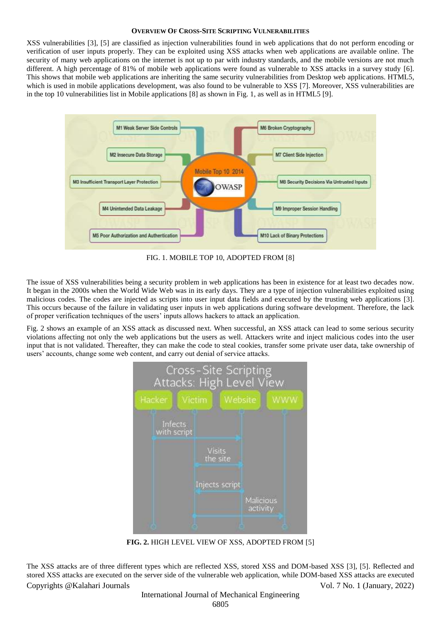#### **OVERVIEW OF CROSS-SITE SCRIPTING VULNERABILITIES**

XSS vulnerabilities [3], [5] are classified as injection vulnerabilities found in web applications that do not perform encoding or verification of user inputs properly. They can be exploited using XSS attacks when web applications are available online. The security of many web applications on the internet is not up to par with industry standards, and the mobile versions are not much different. A high percentage of 81% of mobile web applications were found as vulnerable to XSS attacks in a survey study [6]. This shows that mobile web applications are inheriting the same security vulnerabilities from Desktop web applications. HTML5, which is used in mobile applications development, was also found to be vulnerable to XSS [7]. Moreover, XSS vulnerabilities are in the top 10 vulnerabilities list in Mobile applications [8] as shown in Fig. 1, as well as in HTML5 [9].



FIG. 1. MOBILE TOP 10, ADOPTED FROM [8]

The issue of XSS vulnerabilities being a security problem in web applications has been in existence for at least two decades now. It began in the 2000s when the World Wide Web was in its early days. They are a type of injection vulnerabilities exploited using malicious codes. The codes are injected as scripts into user input data fields and executed by the trusting web applications [3]. This occurs because of the failure in validating user inputs in web applications during software development. Therefore, the lack of proper verification techniques of the users' inputs allows hackers to attack an application.

Fig. 2 shows an example of an XSS attack as discussed next. When successful, an XSS attack can lead to some serious security violations affecting not only the web applications but the users as well. Attackers write and inject malicious codes into the user input that is not validated. Thereafter, they can make the code to steal cookies, transfer some private user data, take ownership of users' accounts, change some web content, and carry out denial of service attacks.



**FIG. 2.** HIGH LEVEL VIEW OF XSS, ADOPTED FROM [5]

Copyrights @Kalahari Journals Vol. 7 No. 1 (January, 2022) The XSS attacks are of three different types which are reflected XSS, stored XSS and DOM-based XSS [3], [5]. Reflected and stored XSS attacks are executed on the server side of the vulnerable web application, while DOM-based XSS attacks are executed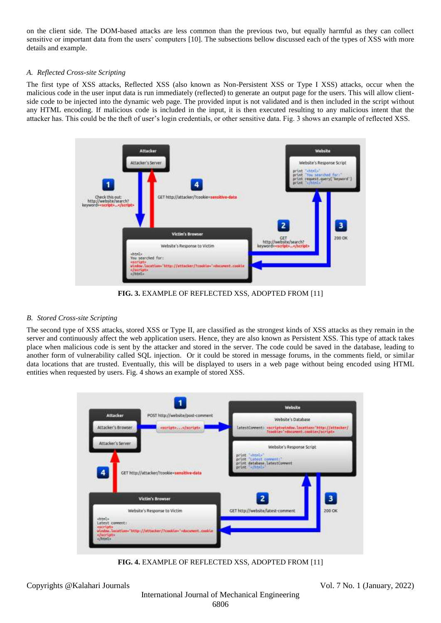on the client side. The DOM-based attacks are less common than the previous two, but equally harmful as they can collect sensitive or important data from the users' computers [10]. The subsections bellow discussed each of the types of XSS with more details and example.

# *A. Reflected Cross-site Scripting*

The first type of XSS attacks, Reflected XSS (also known as Non-Persistent XSS or Type I XSS) attacks, occur when the malicious code in the user input data is run immediately (reflected) to generate an output page for the users. This will allow clientside code to be injected into the dynamic web page. The provided input is not validated and is then included in the script without any HTML encoding. If malicious code is included in the input, it is then executed resulting to any malicious intent that the attacker has. This could be the theft of user's login credentials, or other sensitive data. Fig. 3 shows an example of reflected XSS.



**FIG. 3.** EXAMPLE OF REFLECTED XSS, ADOPTED FROM [11]

# *B. Stored Cross-site Scripting*

The second type of XSS attacks, stored XSS or Type II, are classified as the strongest kinds of XSS attacks as they remain in the server and continuously affect the web application users. Hence, they are also known as Persistent XSS. This type of attack takes place when malicious code is sent by the attacker and stored in the server. The code could be saved in the database, leading to another form of vulnerability called SQL injection. Or it could be stored in message forums, in the comments field, or similar data locations that are trusted. Eventually, this will be displayed to users in a web page without being encoded using HTML entities when requested by users. Fig. 4 shows an example of stored XSS.



**FIG. 4.** EXAMPLE OF REFLECTED XSS, ADOPTED FROM [11]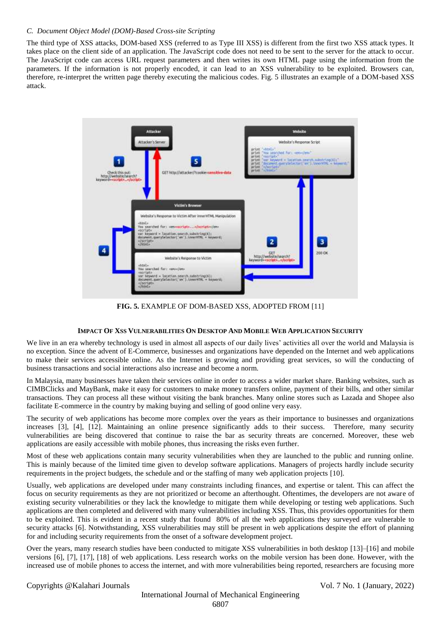## *C. Document Object Model (DOM)-Based Cross-site Scripting*

The third type of XSS attacks, DOM-based XSS (referred to as Type III XSS) is different from the first two XSS attack types. It takes place on the client side of an application. The JavaScript code does not need to be sent to the server for the attack to occur. The JavaScript code can access URL request parameters and then writes its own HTML page using the information from the parameters. If the information is not properly encoded, it can lead to an XSS vulnerability to be exploited. Browsers can, therefore, re-interpret the written page thereby executing the malicious codes. Fig. 5 illustrates an example of a DOM-based XSS attack.



**FIG. 5.** EXAMPLE OF DOM-BASED XSS, ADOPTED FROM [11]

## **IMPACT OF XSS VULNERABILITIES ON DESKTOP AND MOBILE WEB APPLICATION SECURITY**

We live in an era whereby technology is used in almost all aspects of our daily lives' activities all over the world and Malaysia is no exception. Since the advent of E-Commerce, businesses and organizations have depended on the Internet and web applications to make their services accessible online. As the Internet is growing and providing great services, so will the conducting of business transactions and social interactions also increase and become a norm.

In Malaysia, many businesses have taken their services online in order to access a wider market share. Banking websites, such as CIMBClicks and MayBank, make it easy for customers to make money transfers online, payment of their bills, and other similar transactions. They can process all these without visiting the bank branches. Many online stores such as Lazada and Shopee also facilitate E-commerce in the country by making buying and selling of good online very easy.

The security of web applications has become more complex over the years as their importance to businesses and organizations increases [3], [4], [12]. Maintaining an online presence significantly adds to their success. Therefore, many security vulnerabilities are being discovered that continue to raise the bar as security threats are concerned. Moreover, these web applications are easily accessible with mobile phones, thus increasing the risks even further.

Most of these web applications contain many security vulnerabilities when they are launched to the public and running online. This is mainly because of the limited time given to develop software applications. Managers of projects hardly include security requirements in the project budgets, the schedule and or the staffing of many web application projects [10].

Usually, web applications are developed under many constraints including finances, and expertise or talent. This can affect the focus on security requirements as they are not prioritized or become an afterthought. Oftentimes, the developers are not aware of existing security vulnerabilities or they lack the knowledge to mitigate them while developing or testing web applications. Such applications are then completed and delivered with many vulnerabilities including XSS. Thus, this provides opportunities for them to be exploited. This is evident in a recent study that found 80% of all the web applications they surveyed are vulnerable to security attacks [6]. Notwithstanding, XSS vulnerabilities may still be present in web applications despite the effort of planning for and including security requirements from the onset of a software development project.

Over the years, many research studies have been conducted to mitigate XSS vulnerabilities in both desktop [13]–[16] and mobile versions [6], [7], [17], [18] of web applications. Less research works on the mobile version has been done. However, with the increased use of mobile phones to access the internet, and with more vulnerabilities being reported, researchers are focusing more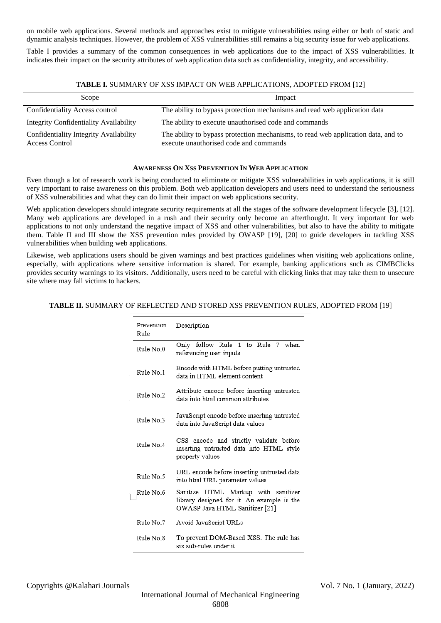on mobile web applications. Several methods and approaches exist to mitigate vulnerabilities using either or both of static and dynamic analysis techniques. However, the problem of XSS vulnerabilities still remains a big security issue for web applications.

Table I provides a summary of the common consequences in web applications due to the impact of XSS vulnerabilities. It indicates their impact on the security attributes of web application data such as confidentiality, integrity, and accessibility.

| TABLE I. SUMMARY OF XSS IMPACT ON WEB APPLICATIONS, ADOPTED FROM [12] |  |  |
|-----------------------------------------------------------------------|--|--|
|-----------------------------------------------------------------------|--|--|

| Scope                                                           | Impact                                                                                                                      |
|-----------------------------------------------------------------|-----------------------------------------------------------------------------------------------------------------------------|
| Confidentiality Access control                                  | The ability to bypass protection mechanisms and read web application data                                                   |
| Integrity Confidentiality Availability                          | The ability to execute unauthorised code and commands                                                                       |
| Confidentiality Integrity Availability<br><b>Access Control</b> | The ability to bypass protection mechanisms, to read web application data, and to<br>execute unauthorised code and commands |

#### **AWARENESS ON XSS PREVENTION IN WEB APPLICATION**

Even though a lot of research work is being conducted to eliminate or mitigate XSS vulnerabilities in web applications, it is still very important to raise awareness on this problem. Both web application developers and users need to understand the seriousness of XSS vulnerabilities and what they can do limit their impact on web applications security.

Web application developers should integrate security requirements at all the stages of the software development lifecycle [3], [12]. Many web applications are developed in a rush and their security only become an afterthought. It very important for web applications to not only understand the negative impact of XSS and other vulnerabilities, but also to have the ability to mitigate them. Table II and III show the XSS prevention rules provided by OWASP [19], [20] to guide developers in tackling XSS vulnerabilities when building web applications.

Likewise, web applications users should be given warnings and best practices guidelines when visiting web applications online, especially, with applications where sensitive information is shared. For example, banking applications such as CIMBClicks provides security warnings to its visitors. Additionally, users need to be careful with clicking links that may take them to unsecure site where may fall victims to hackers.

# **TABLE II.** SUMMARY OF REFLECTED AND STORED XSS PREVENTION RULES, ADOPTED FROM [19]

| Prevention<br>Rule | Description                                                                                                         |
|--------------------|---------------------------------------------------------------------------------------------------------------------|
| Rule No.0          | to Rule 7 when<br>Only follow Rule 1<br>referencing user inputs                                                     |
| Rule No.1          | Encode with HTML before putting untrusted<br>data in HTML element content                                           |
| Rule No 2          | Attribute encode before inserting untrusted<br>data into html common attributes                                     |
| Rule No.3          | JavaScript encode before inserting untrusted<br>data into JavaScript data values                                    |
| Rule No.4          | CSS encode and strictly validate before<br>inserting untrusted data into HTML style<br>property values              |
| Rule No.5          | URL encode before inserting untrusted data<br>into html URL parameter values                                        |
| Rule No.6          | Sanitize HTML Markup with sanitizer<br>library designed for it. An example is the<br>OWASP Java HTML Sanitizer [21] |
| Rule No 7          | Avoid JavaScript URLs                                                                                               |
| Rule No.8          | To prevent DOM-Based XSS. The rule has<br>six sub-rules under it.                                                   |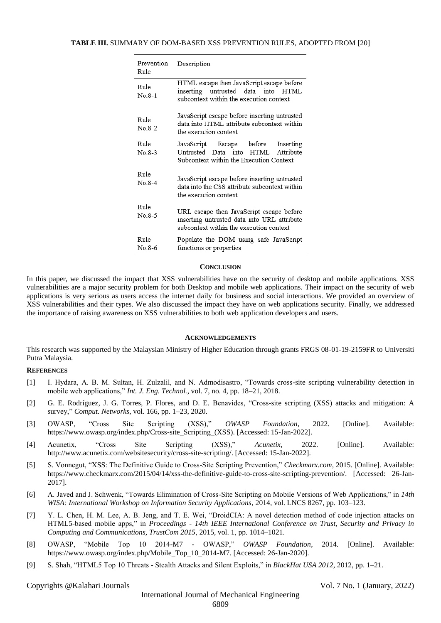#### **TABLE III.** SUMMARY OF DOM-BASED XSS PREVENTION RULES, ADOPTED FROM [20]

| Prevention<br>Rule | Description                                                                                                                        |
|--------------------|------------------------------------------------------------------------------------------------------------------------------------|
| Rule<br>$No.8-1$   | HTML escape then JavaScript escape before<br>inserting untrusted data into HTML<br>subcontext within the execution context         |
| Rule<br>$No 8-2$   | JavaScript escape before inserting untrusted<br>data into HTML attribute subcontext within<br>the execution context                |
| Rule<br>$No.8-3$   | JavaScript Escape before Inserting<br>Untrusted Data into<br>HTML Attribute<br>Subcontext within the Execution Context             |
| Rule<br>$No.8-4$   | JavaScript escape before inserting untrusted<br>data into the CSS attribute subcontext within<br>the execution context             |
| Rule<br>No 8-5     | URL escape then JavaScript escape before<br>inserting untrusted data into URL attribute<br>subcontext within the execution context |
| Rule<br>No 8-6     | Populate the DOM using safe JavaScript<br>functions or properties                                                                  |

#### **CONCLUSION**

In this paper, we discussed the impact that XSS vulnerabilities have on the security of desktop and mobile applications. XSS vulnerabilities are a major security problem for both Desktop and mobile web applications. Their impact on the security of web applications is very serious as users access the internet daily for business and social interactions. We provided an overview of XSS vulnerabilities and their types. We also discussed the impact they have on web applications security. Finally, we addressed the importance of raising awareness on XSS vulnerabilities to both web application developers and users.

#### **ACKNOWLEDGEMENTS**

This research was supported by the Malaysian Ministry of Higher Education through grants FRGS 08-01-19-2159FR to Universiti Putra Malaysia.

## **REFERENCES**

- [1] I. Hydara, A. B. M. Sultan, H. Zulzalil, and N. Admodisastro, "Towards cross-site scripting vulnerability detection in mobile web applications," *Int. J. Eng. Technol.*, vol. 7, no. 4, pp. 18–21, 2018.
- [2] G. E. Rodríguez, J. G. Torres, P. Flores, and D. E. Benavides, "Cross-site scripting (XSS) attacks and mitigation: A survey," *Comput. Networks*, vol. 166, pp. 1–23, 2020.
- [3] OWASP, "Cross Site Scripting (XSS)," *OWASP Foundation*, 2022. [Online]. Available: https://www.owasp.org/index.php/Cross-site\_Scripting\_(XSS). [Accessed: 15-Jan-2022].
- [4] Acunetix, "Cross Site Scripting (XSS)," *Acunetix*, 2022. [Online]. Available: http://www.acunetix.com/websitesecurity/cross-site-scripting/. [Accessed: 15-Jan-2022].
- [5] S. Vonnegut, "XSS: The Definitive Guide to Cross-Site Scripting Prevention," *Checkmarx.com*, 2015. [Online]. Available: https://www.checkmarx.com/2015/04/14/xss-the-definitive-guide-to-cross-site-scripting-prevention/. [Accessed: 26-Jan-2017].
- [6] A. Javed and J. Schwenk, "Towards Elimination of Cross-Site Scripting on Mobile Versions of Web Applications," in *14th WISA: International Workshop on Information Security Applications*, 2014, vol. LNCS 8267, pp. 103–123.
- [7] Y. L. Chen, H. M. Lee, A. B. Jeng, and T. E. Wei, "DroidCIA: A novel detection method of code injection attacks on HTML5-based mobile apps," in *Proceedings - 14th IEEE International Conference on Trust, Security and Privacy in Computing and Communications, TrustCom 2015*, 2015, vol. 1, pp. 1014–1021.
- [8] OWASP, "Mobile Top 10 2014-M7 OWASP," *OWASP Foundation*, 2014. [Online]. Available: https://www.owasp.org/index.php/Mobile\_Top\_10\_2014-M7. [Accessed: 26-Jan-2020].
- [9] S. Shah, "HTML5 Top 10 Threats Stealth Attacks and Silent Exploits," in *BlackHat USA 2012*, 2012, pp. 1–21.